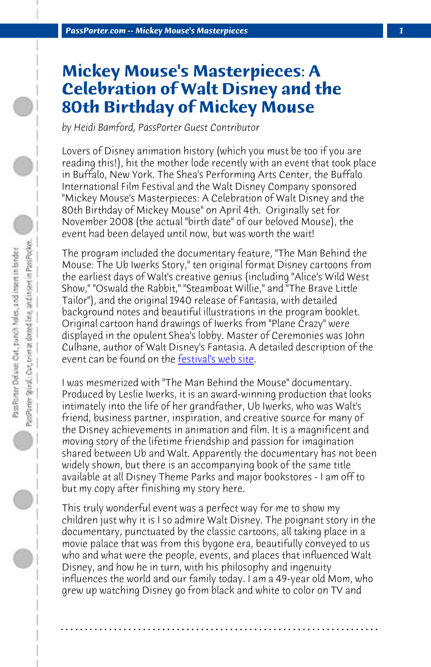*PassPorter.com -- Mickey Mouse's Masterpieces 1*

## **Mickey Mouse's Masterpieces: A Celebration of Walt Disney and the 80th Birthday of Mickey Mouse**

*by Heidi Bamford, PassPorter Guest Contributor*

Lovers of Disney animation history (which you must be too if you are reading this!), hit the mot[her lode recently w](http://www.fest21.com/en/blog/buffalofilmfestival/mickey_mouses_birthday_party_a_celebration_of_walt_disney_at_sheas_buffalo_april_4_2009)ith an event that took place in Buffalo, New York. The Shea's Performing Arts Center, the Buffalo International Film Festival and the Walt Disney Company sponsored "Mickey Mouse's Masterpieces: A Celebration of Walt Disney and the 80th Birthday of Mickey Mouse" on April 4th. Originally set for November 2008 (the actual "birth date" of our beloved Mouse), the event had been delayed until now, but was worth the wait!

The program included the documentary feature, "The Man Behind the Mouse: The Ub Iwerks Story," ten original format Disney cartoons from the earliest days of Walt's creative genius (including "Alice's Wild West Show," "Oswald the Rabbit," "Steamboat Willie," and "The Brave Little Tailor"), and the original 1940 release of Fantasia, with detailed background notes and beautiful illustrations in the program booklet. Original cartoon hand drawings of Iwerks from "Plane Crazy" were displayed in the opulent Shea's lobby. Master of Ceremonies was John Culhane, author of Walt Disney's Fantasia. A detailed description of the event can be found on the festival's web site.

I was mesmerized with "The Man Behind the Mouse" documentary. Produced by Leslie Iwerks, it is an award-winning production that looks intimately into the life of her grandfather, Ub Iwerks, who was Walt's friend, business partner, inspiration, and creative source for many of the Disney achievements in animation and film. It is a magnificent and moving story of the lifetime friendship and passion for imagination shared between Ub and Walt. Apparently the documentary has not been widely shown, but there is an accompanying book of the same title available at all Disney Theme Parks and major bookstores - I am off to but my copy after finishing my story here.

This truly wonderful event was a perfect way for me to show my children just why it is I so admire Walt Disney. The poignant story in the documentary, punctuated by the classic cartoons, all taking place in a movie palace that was from this bygone era, beautifully conveyed to us who and what were the people, events, and places that influenced Walt Disney, and how he in turn, with his philosophy and ingenuity influences the world and our family today. I am a 49-year old Mom, who grew up watching Disney go from black and white to color on TV and

**. . . . . . . . . . . . . . . . . . . . . . . . . . . . . . . . . . . . . . . . . . . . . . . . . . . . . . . . . . . . . . . . . .**